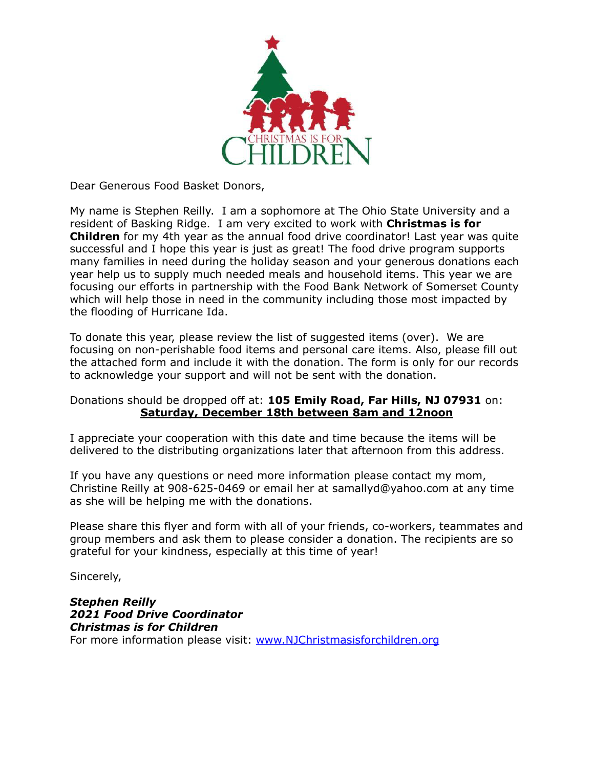

Dear Generous Food Basket Donors,

My name is Stephen Reilly. I am a sophomore at The Ohio State University and a resident of Basking Ridge. I am very excited to work with **Christmas is for Children** for my 4th year as the annual food drive coordinator! Last year was quite successful and I hope this year is just as great! The food drive program supports many families in need during the holiday season and your generous donations each year help us to supply much needed meals and household items. This year we are focusing our efforts in partnership with the Food Bank Network of Somerset County which will help those in need in the community including those most impacted by the flooding of Hurricane Ida.

To donate this year, please review the list of suggested items (over). We are focusing on non-perishable food items and personal care items. Also, please fill out the attached form and include it with the donation. The form is only for our records to acknowledge your support and will not be sent with the donation.

Donations should be dropped off at: **105 Emily Road, Far Hills, NJ 07931** on: **Saturday, December 18th between 8am and 12noon**

I appreciate your cooperation with this date and time because the items will be delivered to the distributing organizations later that afternoon from this address.

If you have any questions or need more information please contact my mom, Christine Reilly at 908-625-0469 or email her at samallyd@yahoo.com at any time as she will be helping me with the donations.

Please share this flyer and form with all of your friends, co-workers, teammates and group members and ask them to please consider a donation. The recipients are so grateful for your kindness, especially at this time of year!

Sincerely,

*Stephen Reilly 2021 Food Drive Coordinator Christmas is for Children* For more information please visit: [www.NJChristmasisforchildren.org](http://www.njchristmasisforchildren.org)